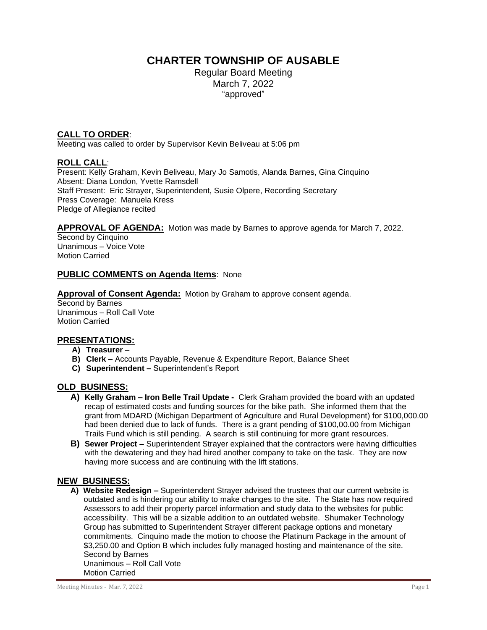# **CHARTER TOWNSHIP OF AUSABLE**

Regular Board Meeting March 7, 2022 "approved"

## **CALL TO ORDER**:

Meeting was called to order by Supervisor Kevin Beliveau at 5:06 pm

## **ROLL CALL**:

Present: Kelly Graham, Kevin Beliveau, Mary Jo Samotis, Alanda Barnes, Gina Cinquino Absent: Diana London, Yvette Ramsdell Staff Present: Eric Strayer, Superintendent, Susie Olpere, Recording Secretary Press Coverage: Manuela Kress Pledge of Allegiance recited

**APPROVAL OF AGENDA:** Motion was made by Barnes to approve agenda for March 7, 2022.

Second by Cinquino Unanimous – Voice Vote Motion Carried

## **PUBLIC COMMENTS on Agenda Items**: None

**Approval of Consent Agenda:** Motion by Graham to approve consent agenda.

Second by Barnes Unanimous – Roll Call Vote Motion Carried

# **PRESENTATIONS:**

- **A) Treasurer** –
- **B) Clerk –** Accounts Payable, Revenue & Expenditure Report, Balance Sheet
- **C) Superintendent –** Superintendent's Report

### **OLD BUSINESS:**

- **A) Kelly Graham – Iron Belle Trail Update -** Clerk Graham provided the board with an updated recap of estimated costs and funding sources for the bike path. She informed them that the grant from MDARD (Michigan Department of Agriculture and Rural Development) for \$100,000.00 had been denied due to lack of funds.There is a grant pending of \$100,00.00 from Michigan Trails Fund which is still pending. A search is still continuing for more grant resources.
- **B) Sewer Project –** Superintendent Strayer explained that the contractors were having difficulties with the dewatering and they had hired another company to take on the task. They are now having more success and are continuing with the lift stations.

### **NEW BUSINESS:**

 **A) Website Redesign –** Superintendent Strayer advised the trustees that our current website is outdated and is hindering our ability to make changes to the site. The State has now required Assessors to add their property parcel information and study data to the websites for public accessibility. This will be a sizable addition to an outdated website. Shumaker Technology Group has submitted to Superintendent Strayer different package options and monetary commitments. Cinquino made the motion to choose the Platinum Package in the amount of \$3,250.00 and Option B which includes fully managed hosting and maintenance of the site. Second by Barnes Unanimous – Roll Call Vote Motion Carried